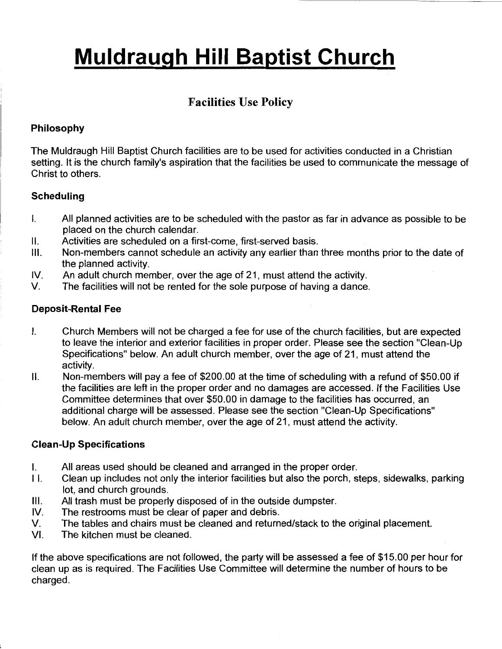# **Muldraugh Hill Baptist Church**

# **Facilities** Use **Policy**

## **Philosophy**

The Muldraugh Hill Baptist Church facilities are to be used for activities conducted in a Christian setting. It is the church family's aspiration that the facilities be used to communicate the message of Christ to others.

## **Scheduling**

- I. All planned activities are to be scheduled with the pastor as far in advance as possible to be placed on the church calendar.
- II. Activities are scheduled on a first-come, first-served basis.
- Ill. Non-members cannot schedule an activity any earlier than three months prior to the date of the planned activity.
- IV. An adult church member, over the age of 21, must attend the activity.
- V. The facilities will not be rented for the sole purpose of having a dance.

#### **Deposit-Rental Fee**

- I. Church Members will not be charged a fee for use of the church facilities, but are expected to leave the interior and exterior facilities in proper order. Please see the section "Clean-Up Specifications" below. An adult church member, over the age of 21, must attend the activity.
- II. Non-members will pay a fee of \$200.00 at the time of scheduling with a refund of \$50.00 if the facilities are left in the proper order and no damages are accessed. If the Facilities Use Committee determines that over \$50.00 in damage to the facilities has occurred, an additional charge will be assessed. Please see the section "Clean-Up Specifications" below. An adult church member, over the age of 21, must attend the activity.

#### **Clean-Up Specifications**

- I. All areas used should be cleaned and arranged in the proper order.
- I I. Clean up includes not only the interior facilities but also the porch, steps, sidewalks, parking lot, and church grounds.
- Ill. All trash must be properly disposed of in the outside dumpster.
- IV. The restrooms must be clear of paper and debris.
- V. The tables and chairs must be cleaned and returned/stack to the original placement.
- VI. The kitchen must be cleaned.

If the above specifications are not followed, the party will be assessed a fee of \$15.00 per hour for clean up as is required. The Facilities Use Committee will determine the number of hours to be charged.